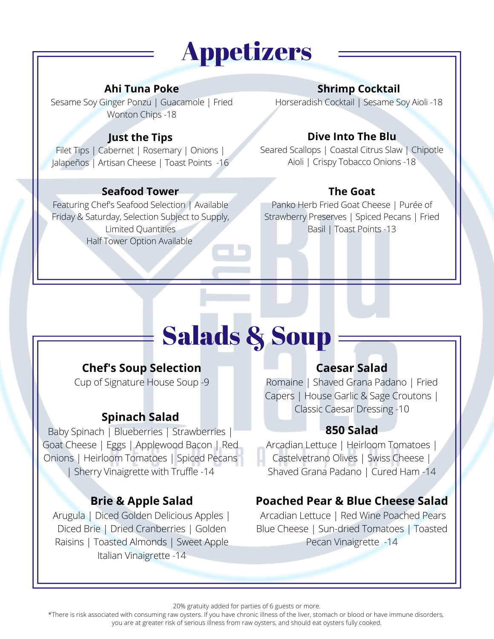## Appetizers

#### **Ahi Tuna Poke**

Sesame Soy Ginger Ponzu | Guacamole | Fried Wonton Chips -18

#### **Just the Tips**

Filet Tips | Cabernet | Rosemary | Onions | Jalapeños | Artisan Cheese | Toast Points -16

#### **Seafood Tower**

Featuring Chef's Seafood Selection | Available Friday & Saturday, Selection Subject to Supply, Limited Quantities Half Tower Option Available

#### **Shrimp Cocktail**

Horseradish Cocktail | Sesame Soy Aioli -18

#### **Dive Into The Blu**

Seared Scallops | Coastal Citrus Slaw | Chipotle Aioli | Crispy Tobacco Onions -18

#### **The Goat**

Panko Herb Fried Goat Cheese | Purée of Strawberry Preserves | Spiced Pecans | Fried Basil | Toast Points -13

# Salads & Soup

#### **Chef's Soup Selection**

Cup of Signature House Soup -9

#### **Spinach Salad**

Baby Spinach | Blueberries | Strawberries | Goat Cheese | Eggs | Applewood Bacon | Red Onions | Heirloom Tomatoes | Spiced Pecans | Sherry Vinaigrette with Truffle -14

#### **Brie & Apple Salad**

Arugula | Diced Golden Delicious Apples | Diced Brie | Dried Cranberries | Golden Raisins | Toasted Almonds | Sweet Apple Italian Vinaigrette -14

#### **Caesar Salad**

Romaine | Shaved Grana Padano | Fried Capers | House Garlic & Sage Croutons | Classic Caesar Dressing -10

#### **850 Salad**

Arcadian Lettuce | Heirloom Tomatoes | Castelvetrano Olives | Swiss Cheese | Shaved Grana Padano | Cured Ham -14

#### **Poached Pear & Blue Cheese Salad**

Arcadian Lettuce | Red Wine Poached Pears Blue Cheese | Sun-dried Tomatoes | Toasted Pecan Vinaigrette -14

20% gratuity added for parties of 6 guests or more.

\*There is risk associated with consuming raw oysters. If you have chronic illness of the liver, stomach or blood or have immune disorders, you are at greater risk of serious illness from raw oysters, and should eat oysters fully cooked.